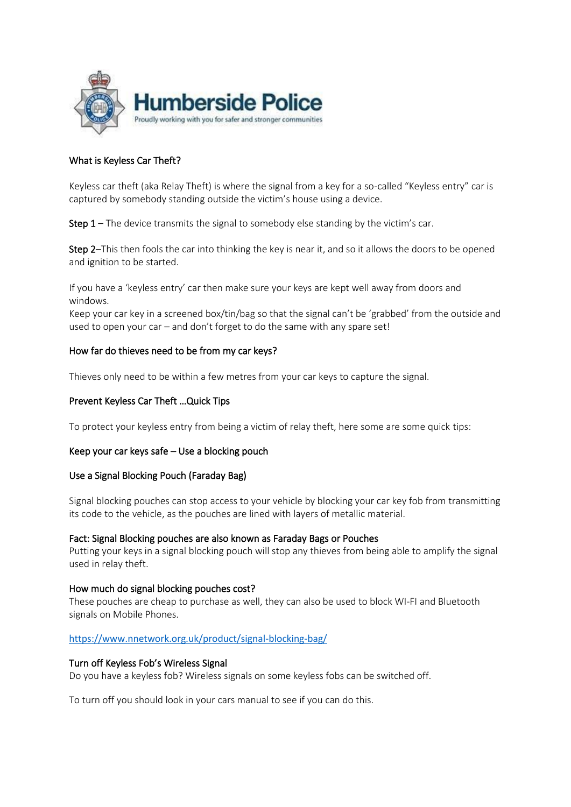

# What is Keyless Car Theft?

Keyless car theft (aka Relay Theft) is where the signal from a key for a so-called "Keyless entry" car is captured by somebody standing outside the victim's house using a device.

**Step 1** – The device transmits the signal to somebody else standing by the victim's car.

Step 2–This then fools the car into thinking the key is near it, and so it allows the doors to be opened and ignition to be started.

If you have a 'keyless entry' car then make sure your keys are kept well away from doors and windows.

Keep your car key in a screened box/tin/bag so that the signal can't be 'grabbed' from the outside and used to open your car – and don't forget to do the same with any spare set!

## How far do thieves need to be from my car keys?

Thieves only need to be within a few metres from your car keys to capture the signal.

## Prevent Keyless Car Theft …Quick Tips

To protect your keyless entry from being a victim of relay theft, here some are some quick tips:

## Keep your car keys safe – Use a blocking pouch

## Use a Signal Blocking Pouch (Faraday Bag)

Signal blocking pouches can stop access to your vehicle by blocking your car key fob from transmitting its code to the vehicle, as the pouches are lined with layers of metallic material.

## Fact: Signal Blocking pouches are also known as Faraday Bags or Pouches

Putting your keys in a signal blocking pouch will stop any thieves from being able to amplify the signal used in relay theft.

## How much do signal blocking pouches cost?

These pouches are cheap to purchase as well, they can also be used to block WI-FI and Bluetooth signals on Mobile Phones.

## <https://www.nnetwork.org.uk/product/signal-blocking-bag/>

## Turn off Keyless Fob's Wireless Signal

Do you have a keyless fob? Wireless signals on some keyless fobs can be switched off.

To turn off you should look in your cars manual to see if you can do this.